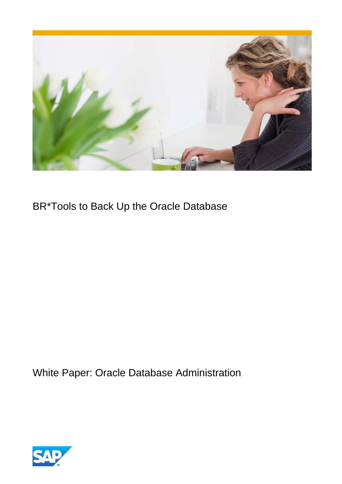

BR\*Tools to Back Up the Oracle Database

White Paper: Oracle Database Administration

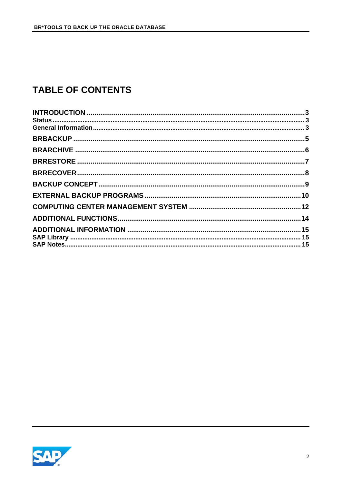# **TABLE OF CONTENTS**

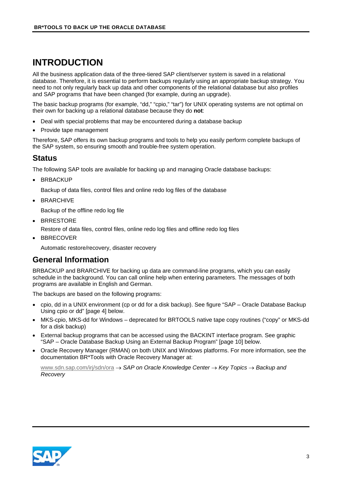# <span id="page-2-0"></span>**INTRODUCTION**

All the business application data of the three-tiered SAP client/server system is saved in a relational database. Therefore, it is essential to perform backups regularly using an appropriate backup strategy. You need to not only regularly back up data and other components of the relational database but also profiles and SAP programs that have been changed (for example, during an upgrade).

The basic backup programs (for example, "dd," "cpio," "tar") for UNIX operating systems are not optimal on their own for backing up a relational database because they do **not**:

- Deal with special problems that may be encountered during a database backup
- Provide tape management

Therefore, SAP offers its own backup programs and tools to help you easily perform complete backups of the SAP system, so ensuring smooth and trouble-free system operation.

#### <span id="page-2-1"></span>**Status**

The following SAP tools are available for backing up and managing Oracle database backups:

• BRBACKUP

Backup of data files, control files and online redo log files of the database

• BRARCHIVE

Backup of the offline redo log file

- BRRESTORE
	- Restore of data files, control files, online redo log files and offline redo log files
- BBRECOVER

Automatic restore/recovery, disaster recovery

#### <span id="page-2-2"></span>**General Information**

BRBACKUP and BRARCHIVE for backing up data are command-line programs, which you can easily schedule in the background. You can call online help when entering parameters. The messages of both programs are available in English and German.

The backups are based on the following programs:

- cpio, dd in a UNIX environment (cp or dd for a disk backup). See figure "SAP Oracle Database Backup Using cpio or dd" [page [4\]](#page-3-0) below.
- MKS-cpio, MKS-dd for Windows deprecated for BRTOOLS native tape copy routines ("copy" or MKS-dd for a disk backup)
- External backup programs that can be accessed using the BACKINT interface program. See graphic "SAP – Oracle Database Backup Using an External Backup Program" [page [10\]](#page-9-1) below.
- Oracle Recovery Manager (RMAN) on both UNIX and Windows platforms. For more information, see the documentation BR\*Tools with Oracle Recovery Manager at:

[www.sdn.sap.com/irj/sdn/ora](http://www.sdn.sap.com/irj/sdn/ora) → *SAP on Oracle Knowledge Center* → *Key Topics* → *Backup and Recovery*

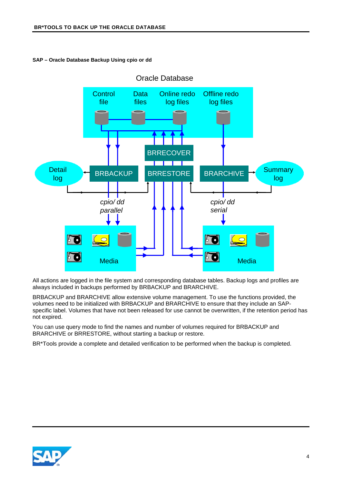<span id="page-3-0"></span>



All actions are logged in the file system and corresponding database tables. Backup logs and profiles are always included in backups performed by BRBACKUP and BRARCHIVE.

BRBACKUP and BRARCHIVE allow extensive volume management. To use the functions provided, the volumes need to be initialized with BRBACKUP and BRARCHIVE to ensure that they include an SAPspecific label. Volumes that have not been released for use cannot be overwritten, if the retention period has not expired.

You can use query mode to find the names and number of volumes required for BRBACKUP and BRARCHIVE or BRRESTORE, without starting a backup or restore.

BR\*Tools provide a complete and detailed verification to be performed when the backup is completed.

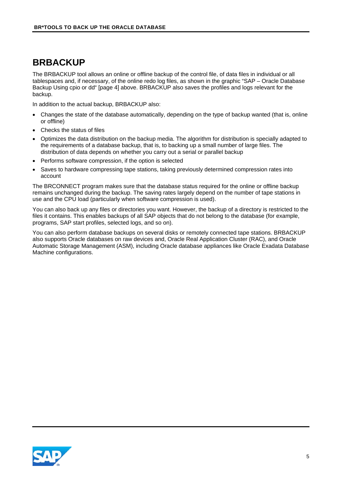#### <span id="page-4-0"></span>**BRBACKUP**

The BRBACKUP tool allows an online or offline backup of the control file, of data files in individual or all tablespaces and, if necessary, of the online redo log files, as shown in the graphic "SAP – Oracle Database Backup Using cpio or dd" [page [4\]](#page-3-0) above. BRBACKUP also saves the profiles and logs relevant for the backup.

In addition to the actual backup, BRBACKUP also:

- Changes the state of the database automatically, depending on the type of backup wanted (that is, online or offline)
- Checks the status of files
- Optimizes the data distribution on the backup media. The algorithm for distribution is specially adapted to the requirements of a database backup, that is, to backing up a small number of large files. The distribution of data depends on whether you carry out a serial or parallel backup
- Performs software compression, if the option is selected
- Saves to hardware compressing tape stations, taking previously determined compression rates into account

The BRCONNECT program makes sure that the database status required for the online or offline backup remains unchanged during the backup. The saving rates largely depend on the number of tape stations in use and the CPU load (particularly when software compression is used).

You can also back up any files or directories you want. However, the backup of a directory is restricted to the files it contains. This enables backups of all SAP objects that do not belong to the database (for example, programs, SAP start profiles, selected logs, and so on).

You can also perform database backups on several disks or remotely connected tape stations. BRBACKUP also supports Oracle databases on raw devices and, Oracle Real Application Cluster (RAC), and Oracle Automatic Storage Management (ASM), including Oracle database appliances like Oracle Exadata Database Machine configurations.

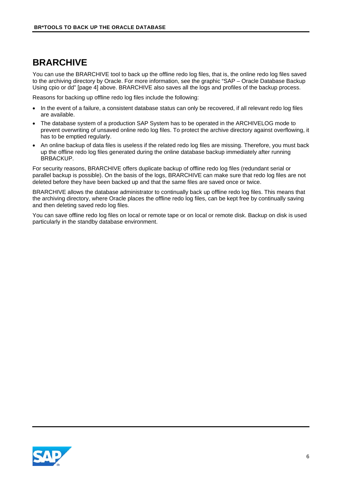#### <span id="page-5-0"></span>**BRARCHIVE**

You can use the BRARCHIVE tool to back up the offline redo log files, that is, the online redo log files saved to the archiving directory by Oracle. For more information, see the graphic "SAP – Oracle Database Backup Using cpio or dd" [page [4\]](#page-3-0) above. BRARCHIVE also saves all the logs and profiles of the backup process.

Reasons for backing up offline redo log files include the following:

- In the event of a failure, a consistent database status can only be recovered, if all relevant redo log files are available.
- The database system of a production SAP System has to be operated in the ARCHIVELOG mode to prevent overwriting of unsaved online redo log files. To protect the archive directory against overflowing, it has to be emptied regularly.
- An online backup of data files is useless if the related redo log files are missing. Therefore, you must back up the offline redo log files generated during the online database backup immediately after running BRBACKUP.

For security reasons, BRARCHIVE offers duplicate backup of offline redo log files (redundant serial or parallel backup is possible). On the basis of the logs, BRARCHIVE can make sure that redo log files are not deleted before they have been backed up and that the same files are saved once or twice.

BRARCHIVE allows the database administrator to continually back up offline redo log files. This means that the archiving directory, where Oracle places the offline redo log files, can be kept free by continually saving and then deleting saved redo log files.

You can save offline redo log files on local or remote tape or on local or remote disk. Backup on disk is used particularly in the standby database environment.

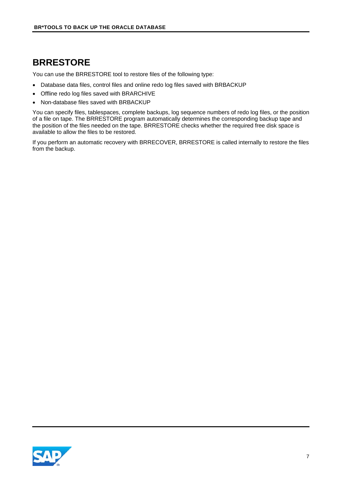## <span id="page-6-0"></span>**BRRESTORE**

You can use the BRRESTORE tool to restore files of the following type:

- Database data files, control files and online redo log files saved with BRBACKUP
- Offline redo log files saved with BRARCHIVE
- Non-database files saved with BRBACKUP

You can specify files, tablespaces, complete backups, log sequence numbers of redo log files, or the position of a file on tape. The BRRESTORE program automatically determines the corresponding backup tape and the position of the files needed on the tape. BRRESTORE checks whether the required free disk space is available to allow the files to be restored.

If you perform an automatic recovery with BRRECOVER, BRRESTORE is called internally to restore the files from the backup.

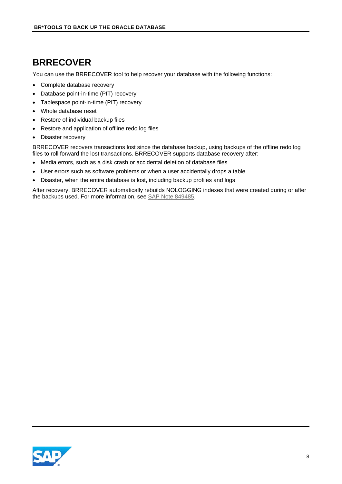#### <span id="page-7-0"></span>**BRRECOVER**

You can use the BRRECOVER tool to help recover your database with the following functions:

- Complete database recovery
- Database point-in-time (PIT) recovery
- Tablespace point-in-time (PIT) recovery
- Whole database reset
- Restore of individual backup files
- Restore and application of offline redo log files
- Disaster recovery

BRRECOVER recovers transactions lost since the database backup, using backups of the offline redo log files to roll forward the lost transactions. BRRECOVER supports database recovery after:

- Media errors, such as a disk crash or accidental deletion of database files
- User errors such as software problems or when a user accidentally drops a table
- Disaster, when the entire database is lost, including backup profiles and logs

After recovery, BRRECOVER automatically rebuilds NOLOGGING indexes that were created during or after the backups used. For more information, see [SAP Note 849485.](http://service.sap.com/sap/support/notes/849485)

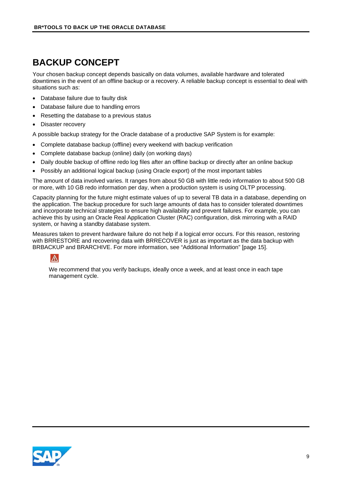# <span id="page-8-0"></span>**BACKUP CONCEPT**

Your chosen backup concept depends basically on data volumes, available hardware and tolerated downtimes in the event of an offline backup or a recovery. A reliable backup concept is essential to deal with situations such as:

- Database failure due to faulty disk
- Database failure due to handling errors
- Resetting the database to a previous status
- Disaster recovery

A possible backup strategy for the Oracle database of a productive SAP System is for example:

- Complete database backup (offline) every weekend with backup verification
- Complete database backup (online) daily (on working days)
- Daily double backup of offline redo log files after an offline backup or directly after an online backup
- Possibly an additional logical backup (using Oracle export) of the most important tables

The amount of data involved varies. It ranges from about 50 GB with little redo information to about 500 GB or more, with 10 GB redo information per day, when a production system is using OLTP processing.

Capacity planning for the future might estimate values of up to several TB data in a database, depending on the application. The backup procedure for such large amounts of data has to consider tolerated downtimes and incorporate technical strategies to ensure high availability and prevent failures. For example, you can achieve this by using an Oracle Real Application Cluster (RAC) configuration, disk mirroring with a RAID system, or having a standby database system.

Measures taken to prevent hardware failure do not help if a logical error occurs. For this reason, restoring with BRRESTORE and recovering data with BRRECOVER is just as important as the data backup with BRBACKUP and BRARCHIVE. For more information, see ["Additional Information"](#page-14-0) [page [15\]](#page-14-0).



We recommend that you verify backups, ideally once a week, and at least once in each tape management cycle.

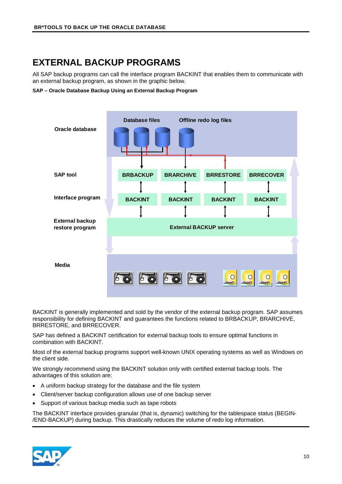# <span id="page-9-0"></span>**EXTERNAL BACKUP PROGRAMS**

All SAP backup programs can call the interface program BACKINT that enables them to communicate with an external backup program, as shown in the graphic below.

<span id="page-9-1"></span>**SAP – Oracle Database Backup Using an External Backup Program**



BACKINT is generally implemented and sold by the vendor of the external backup program. SAP assumes responsibility for defining BACKINT and guarantees the functions related to BRBACKUP, BRARCHIVE, BRRESTORE, and BRRECOVER.

SAP has defined a BACKINT certification for external backup tools to ensure optimal functions in combination with BACKINT.

Most of the external backup programs support well-known UNIX operating systems as well as Windows on the client side.

We strongly recommend using the BACKINT solution only with certified external backup tools. The advantages of this solution are:

- A uniform backup strategy for the database and the file system
- Client/server backup configuration allows use of one backup server
- Support of various backup media such as tape robots

The BACKINT interface provides granular (that is, dynamic) switching for the tablespace status (BEGIN- /END-BACKUP) during backup. This drastically reduces the volume of redo log information.

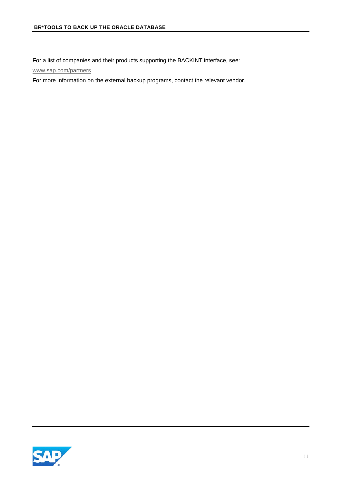For a list of companies and their products supporting the BACKINT interface, see:

[www.sap.com/partners](http://www.sap.com/partners)

For more information on the external backup programs, contact the relevant vendor.

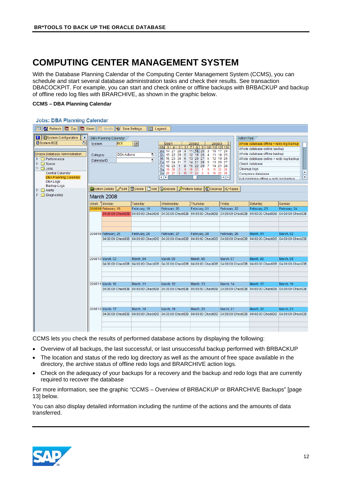## <span id="page-11-0"></span>**COMPUTING CENTER MANAGEMENT SYSTEM**

With the Database Planning Calendar of the Computing Center Management System (CCMS), you can schedule and start several database administration tasks and check their results. See transaction DBACOCKPIT. For example, you can start and check online or offline backups with BRBACKUP and backup of offline redo log files with BRARCHIVE, as shown in the graphic below.

#### **CCMS – DBA Planning Calendar**

#### **Jobs: DBA Planning Calendar**

| <b>G</b> Refresh   函 Day  <br>l函 Week<br>图 Legend<br><b>+ Save Settings</b><br>Month<br>画                                                                                                                                                                                                                                             |                                  |                                                 |                                                        |                                   |              |                                                                                                                                                                                                                                                                                                                                                           |                                                                                                                                                                                                              |                                                                                                            |                                                                                                                                                                                                                                                        |                  |
|---------------------------------------------------------------------------------------------------------------------------------------------------------------------------------------------------------------------------------------------------------------------------------------------------------------------------------------|----------------------------------|-------------------------------------------------|--------------------------------------------------------|-----------------------------------|--------------|-----------------------------------------------------------------------------------------------------------------------------------------------------------------------------------------------------------------------------------------------------------------------------------------------------------------------------------------------------------|--------------------------------------------------------------------------------------------------------------------------------------------------------------------------------------------------------------|------------------------------------------------------------------------------------------------------------|--------------------------------------------------------------------------------------------------------------------------------------------------------------------------------------------------------------------------------------------------------|------------------|
| <b>H</b> Ei System Configuration<br>۱Þ.<br>System BCE<br>旧<br>Oracle Database Administration<br>$\triangleright$ $\square$ Performance<br>$\triangleright$ $\Box$ Space<br>$\triangledown$ $\bigcirc$ Jobs<br>Central Calendar<br><b>DBA Planning Calendar</b><br><b>DBA Logs</b><br>Backup Logs<br>$\triangleright$ $\square$ Alerts | System<br>Category<br>CalendarID | DBA Planning Calendar<br><b>MAction Details</b> | <b>BCE</b><br><b>DBA</b> Actions<br>$\mathscr{D}$ Edit | $\bigcirc$                        | ū<br>Ū       | 008/1<br>Mo<br>14<br>21<br>28<br>$\overline{4}$<br>22<br>15<br>29<br>5<br>Di<br>Mi<br>16<br>23<br>30<br>6<br>24<br>Do<br>17<br>31<br>$\overline{7}$<br>25<br>Fr<br>18<br>$\blacktriangleleft$<br>8<br>Sa<br>19<br>26<br>$\overline{2}$<br>9<br>20<br>27 3 10 17 24<br>Sol<br>$\left\  \cdot \right\ $<br>Delete   Add   Execute   Pattern Setup   Cleanup | 2008/2<br>2008/3<br>11 12<br>9<br>10<br>11 18 25<br>3<br>10<br>12 19 26<br>4<br>11<br>13 20 27<br>5<br>14<br>21 28<br>6<br>13<br>15 22 29<br>16 23<br>8 15 22 29<br>$\blacksquare$<br>$\overline{2}$<br>9 16 | Action Pad<br>17 24<br>18 25<br>12 19 26<br>20 27<br>14 21 28<br>23 30<br>н⊪к<br><b>G</b> <sup>Tapes</sup> | Whole database offline + redo log backup<br>Whole database online backup<br>Whole database offline backup<br>Whole database online + redo log backup<br>Check database<br>Cleanup logs<br>Compress database<br>Full database offline + redo log backup | $\overline{\Xi}$ |
| $\triangleright$ $\square$ Diagnostics                                                                                                                                                                                                                                                                                                | March 2008                       |                                                 |                                                        |                                   |              |                                                                                                                                                                                                                                                                                                                                                           |                                                                                                                                                                                                              |                                                                                                            |                                                                                                                                                                                                                                                        |                  |
|                                                                                                                                                                                                                                                                                                                                       | Week                             | Monday                                          |                                                        | Tuesday                           |              | Wednesday                                                                                                                                                                                                                                                                                                                                                 | Thursday                                                                                                                                                                                                     | Friday                                                                                                     | Saturday                                                                                                                                                                                                                                               | Sunday           |
|                                                                                                                                                                                                                                                                                                                                       |                                  | 2008'08 February, 18                            |                                                        | February, 19                      |              | February, 20                                                                                                                                                                                                                                                                                                                                              | February, 21                                                                                                                                                                                                 | February, 22                                                                                               | February, 23                                                                                                                                                                                                                                           | February, 24     |
|                                                                                                                                                                                                                                                                                                                                       |                                  | 04:00:00 CheckDB                                |                                                        | 04:00:00 CheckDB                  |              | 04:00:00 CheckDB                                                                                                                                                                                                                                                                                                                                          | 04:00:00 CheckDB                                                                                                                                                                                             | 04:00:00 CheckDB                                                                                           | 04:00:00 CheckDB                                                                                                                                                                                                                                       | 04:00:00 CheckDB |
|                                                                                                                                                                                                                                                                                                                                       |                                  |                                                 |                                                        |                                   |              |                                                                                                                                                                                                                                                                                                                                                           |                                                                                                                                                                                                              |                                                                                                            |                                                                                                                                                                                                                                                        |                  |
|                                                                                                                                                                                                                                                                                                                                       | 2008'09 February, 25             |                                                 | February, 26                                           |                                   | February, 27 | February, 28                                                                                                                                                                                                                                                                                                                                              | February, 29                                                                                                                                                                                                 | March, 01                                                                                                  | March, 02                                                                                                                                                                                                                                              |                  |
|                                                                                                                                                                                                                                                                                                                                       |                                  |                                                 | 04:00:00 CheckDB                                       | 04:00:00 CheckDB                  |              | 04:00:00 CheckDB                                                                                                                                                                                                                                                                                                                                          | 04:00:00 CheckDB                                                                                                                                                                                             | 04:00:00 CheckDB                                                                                           | 04:00:00 CheckDB 04:00:00 CheckDB                                                                                                                                                                                                                      |                  |
|                                                                                                                                                                                                                                                                                                                                       |                                  | 2008'10 March, 03                               |                                                        | March, 04                         |              | March, 05                                                                                                                                                                                                                                                                                                                                                 | March, 06                                                                                                                                                                                                    | March, 07                                                                                                  | March, 08                                                                                                                                                                                                                                              | March, 09        |
|                                                                                                                                                                                                                                                                                                                                       |                                  |                                                 | 04:00:00 CheckDB                                       | 04:00:00 CheckDB                  |              | 04:00:00 CheckDB                                                                                                                                                                                                                                                                                                                                          | 04:00:00 CheckDB                                                                                                                                                                                             | 04:00:00 CheckDB                                                                                           | 04:00:00 CheckDB 04:00:00 CheckDB                                                                                                                                                                                                                      |                  |
|                                                                                                                                                                                                                                                                                                                                       |                                  |                                                 |                                                        |                                   |              |                                                                                                                                                                                                                                                                                                                                                           |                                                                                                                                                                                                              |                                                                                                            |                                                                                                                                                                                                                                                        |                  |
|                                                                                                                                                                                                                                                                                                                                       |                                  | 2008'11 March, 10                               |                                                        | March, 11                         |              | March, 12                                                                                                                                                                                                                                                                                                                                                 | March, 13                                                                                                                                                                                                    | March, 14                                                                                                  | March, 15                                                                                                                                                                                                                                              | March, 16        |
|                                                                                                                                                                                                                                                                                                                                       |                                  |                                                 |                                                        | 04:00:00 CheckDB 04:00:00 CheckDB |              | 04:00:00 CheckDB                                                                                                                                                                                                                                                                                                                                          | 04:00:00 CheckDB                                                                                                                                                                                             |                                                                                                            | 04:00:00 CheckDB 04:00:00 CheckDB 04:00:00 CheckDB                                                                                                                                                                                                     |                  |
|                                                                                                                                                                                                                                                                                                                                       |                                  |                                                 |                                                        |                                   |              |                                                                                                                                                                                                                                                                                                                                                           |                                                                                                                                                                                                              |                                                                                                            |                                                                                                                                                                                                                                                        |                  |
|                                                                                                                                                                                                                                                                                                                                       |                                  | 2008'12 March, 17                               |                                                        | March, 18                         |              | March, 19                                                                                                                                                                                                                                                                                                                                                 | March, 20                                                                                                                                                                                                    | March, 21                                                                                                  | March, 22                                                                                                                                                                                                                                              | March, 23        |
|                                                                                                                                                                                                                                                                                                                                       |                                  |                                                 |                                                        |                                   |              | 04:00:00 CheckDB  04:00:00 CheckDB  04:00:00 CheckDB  04:00:00 CheckDB  04:00:00 CheckDB  04:00:00 CheckDB  04:00:00 CheckDB  04:00:00 CheckDB                                                                                                                                                                                                            |                                                                                                                                                                                                              |                                                                                                            |                                                                                                                                                                                                                                                        |                  |

CCMS lets you check the results of performed database actions by displaying the following:

- Overview of all backups, the last successful, or last unsuccessful backup performed with BRBACKUP
- The location and status of the redo log directory as well as the amount of free space available in the directory, the archive status of offline redo logs and BRARCHIVE action logs.
- Check on the adequacy of your backups for a recovery and the backup and redo logs that are currently required to recover the database

For more information, see the graphic "CCMS – [Overview of BRBACKUP or BRARCHIVE Backups"](#page-12-0) [page [13\]](#page-12-0) below.

You can also display detailed information including the runtime of the actions and the amounts of data transferred.

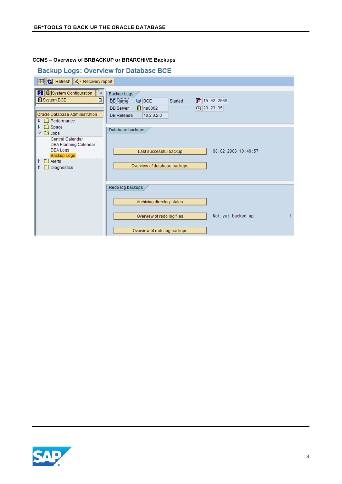#### <span id="page-12-0"></span>**CCMS – Overview of BRBACKUP or BRARCHIVE Backups**

#### **Backup Logs: Overview for Database BCE**

| Refresh   & Recovery report<br>Fel                                                                                                                                                                                                                                                             |                                                                                                                                                                         |  |  |  |  |
|------------------------------------------------------------------------------------------------------------------------------------------------------------------------------------------------------------------------------------------------------------------------------------------------|-------------------------------------------------------------------------------------------------------------------------------------------------------------------------|--|--|--|--|
| <b>H</b> EilSystem Configuration<br>٠<br>System BCE<br>旧<br>Oracle Database Administration<br>$\triangleright$ $\Box$ Performance<br>$\Box$ Space<br>D.<br>▽ ाी Jobs<br>Central Calendar<br>DBA Planning Calendar<br>DBA Logs<br>Backup Logs<br>$\Box$ Alerts<br>D.<br>Diagnostics<br>D<br>E1. | Backup Logs<br>图 15.02.2008<br>DB Name<br>$\bigcirc$ BCE<br>Started<br>$\bigoplus$ 23:23:35<br>$\mathbb{\hat{}}$ hs0002<br><b>DB</b> Server<br>10.2.0.2.0<br>DB Release |  |  |  |  |
|                                                                                                                                                                                                                                                                                                | Database backups<br>08.02.2008 10:40:57<br>Last successful backup<br>Overview of database backups                                                                       |  |  |  |  |
|                                                                                                                                                                                                                                                                                                | Redo log backups<br>Archiving directory status<br>Not yet backed up:<br>Overview of redo log files<br>Overview of redo log backups                                      |  |  |  |  |

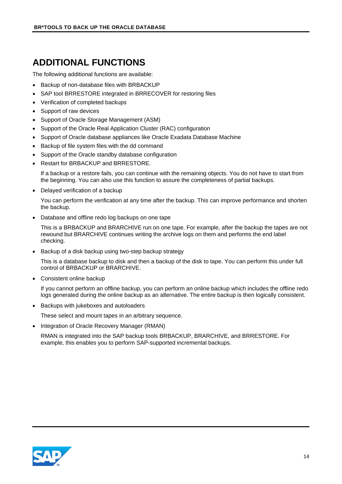# <span id="page-13-0"></span>**ADDITIONAL FUNCTIONS**

The following additional functions are available:

- Backup of non-database files with BRBACKUP
- SAP tool BRRESTORE integrated in BRRECOVER for restoring files
- Verification of completed backups
- Support of raw devices
- Support of Oracle Storage Management (ASM)
- Support of the Oracle Real Application Cluster (RAC) configuration
- Support of Oracle database appliances like Oracle Exadata Database Machine
- Backup of file system files with the dd command
- Support of the Oracle standby database configuration
- Restart for BRBACKUP and BRRESTORE.

If a backup or a restore fails, you can continue with the remaining objects. You do not have to start from the beginning. You can also use this function to assure the completeness of partial backups.

• Delayed verification of a backup

You can perform the verification at any time after the backup. This can improve performance and shorten the backup.

• Database and offline redo log backups on one tape

This is a BRBACKUP and BRARCHIVE run on one tape. For example, after the backup the tapes are not rewound but BRARCHIVE continues writing the archive logs on them and performs the end label checking.

• Backup of a disk backup using two-step backup strategy

This is a database backup to disk and then a backup of the disk to tape. You can perform this under full control of BRBACKUP or BRARCHIVE.

• Consistent online backup

If you cannot perform an offline backup, you can perform an online backup which includes the offline redo logs generated during the online backup as an alternative. The entire backup is then logically consistent.

• Backups with jukeboxes and autoloaders

These select and mount tapes in an arbitrary sequence.

• Integration of Oracle Recovery Manager (RMAN)

RMAN is integrated into the SAP backup tools BRBACKUP, BRARCHIVE, and BRRESTORE. For example, this enables you to perform SAP-supported incremental backups.

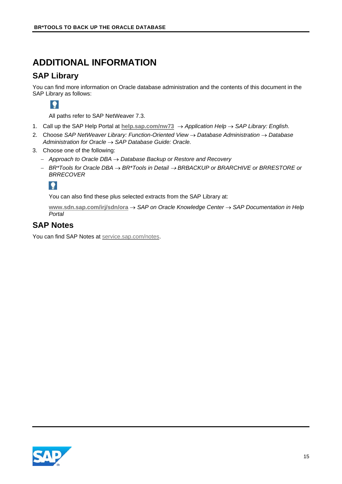## <span id="page-14-0"></span>**ADDITIONAL INFORMATION**

#### <span id="page-14-1"></span>**SAP Library**

You can find more information on Oracle database administration and the contents of this document in the SAP Library as follows:

 $\bullet$ 

All paths refer to SAP NetWeaver 7.3.

- 1. Call up the SAP Help Portal at **[help.sap.com/nw73](http://help.sap.com/nw73)** → *Application Help* → *SAP Library: English*.
- 2. Choose *SAP NetWeaver Library: Function-Oriented View* → *Database Administration* → *Database Administration for Oracle* → *SAP Database Guide: Oracle.*
- 3. Choose one of the following:
	- − *Approach to Oracle DBA* → *Database Backup or Restore and Recovery*
	- − *BR\*Tools for Oracle DBA* → *BR\*Tools in Detail* <sup>→</sup> *BRBACKUP or BRARCHIVE or BRRESTORE or BRRECOVER*

 $\bullet$ 

You can also find these plus selected extracts from the SAP Library at:

**[www.sdn.sap.com/irj/sdn/ora](http://www.sdn.sap.com/irj/sdn/ora)** → *SAP on Oracle Knowledge Center* → *SAP Documentation in Help Portal*

#### <span id="page-14-2"></span>**SAP Notes**

You can find SAP Notes at [service.sap.com/notes.](http://service.sap.com/notes)